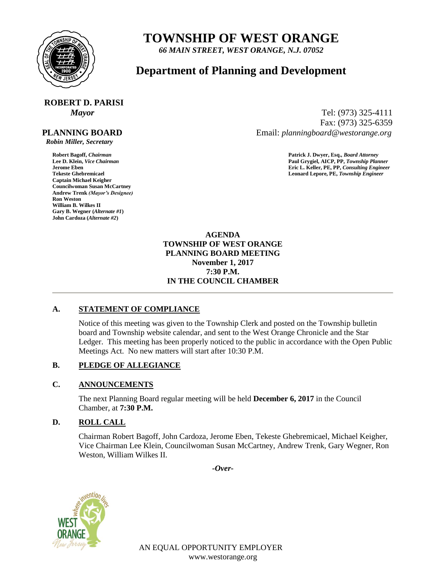

## **TOWNSHIP OF WEST ORANGE**

*66 MAIN STREET, WEST ORANGE, N.J. 07052*

### **Department of Planning and Development**

# **ROBERT D. PARISI**

#### **PLANNING BOARD**

 *Robin Miller, Secretary*

**Captain Michael Keigher Councilwoman Susan McCartney Andrew Trenk** *(Mayor's Designee)* **Ron Weston William B. Wilkes II Gary B. Wegner (***Alternate #1***) John Cardoza (***Alternate #2***)**

*Mayor* Tel: (973) 325-4111 Fax: (973) 325-6359 Email: *planningboard@westorange.org*

**Robert Bagoff,** *Chairman* **Patrick J. Dwyer, Esq.,** *Board Attorney* **Lee D. Klein,** *Vice Chairman* **Paul Grygiel, AICP, PP,** *Township Planner* **Jerome Eben Eric L. Keller, PE, PP,** *Consulting Engineer* Leonard Lepore, PE, Township Engineer

> **AGENDA TOWNSHIP OF WEST ORANGE PLANNING BOARD MEETING November 1, 2017 7:30 P.M. IN THE COUNCIL CHAMBER**

#### **A. STATEMENT OF COMPLIANCE**

Notice of this meeting was given to the Township Clerk and posted on the Township bulletin board and Township website calendar, and sent to the West Orange Chronicle and the Star Ledger. This meeting has been properly noticed to the public in accordance with the Open Public Meetings Act. No new matters will start after 10:30 P.M.

#### **B. PLEDGE OF ALLEGIANCE**

#### **C. ANNOUNCEMENTS**

The next Planning Board regular meeting will be held **December 6, 2017** in the Council Chamber, at **7:30 P.M.**

#### **D. ROLL CALL**

Chairman Robert Bagoff, John Cardoza, Jerome Eben, Tekeste Ghebremicael, Michael Keigher, Vice Chairman Lee Klein, Councilwoman Susan McCartney, Andrew Trenk, Gary Wegner, Ron Weston, William Wilkes II.

*-Over-*



AN EQUAL OPPORTUNITY EMPLOYER www.westorange.org